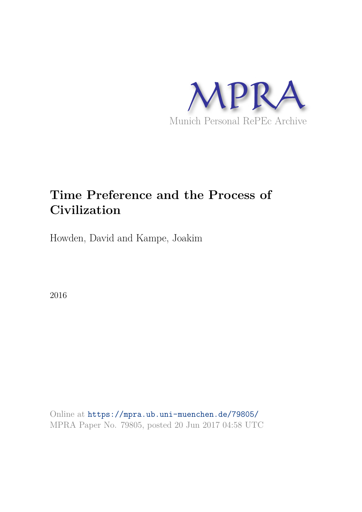

# **Time Preference and the Process of Civilization**

Howden, David and Kampe, Joakim

2016

Online at https://mpra.ub.uni-muenchen.de/79805/ MPRA Paper No. 79805, posted 20 Jun 2017 04:58 UTC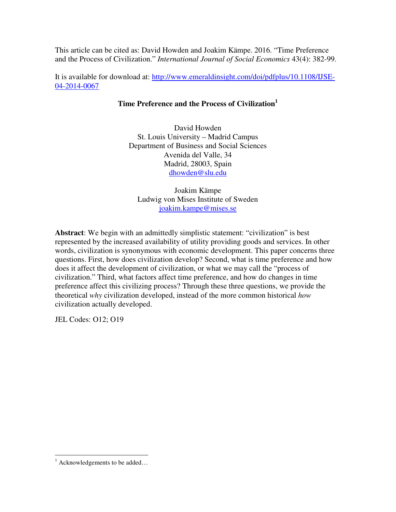This article can be cited as: David Howden and Joakim Kämpe. 2016. "Time Preference and the Process of Civilization." *International Journal of Social Economics* 43(4): 382-99.

It is available for download at: http://www.emeraldinsight.com/doi/pdfplus/10.1108/IJSE-04-2014-0067

# **Time Preference and the Process of Civilization<sup>1</sup>**

David Howden St. Louis University – Madrid Campus Department of Business and Social Sciences Avenida del Valle, 34 Madrid, 28003, Spain dhowden@slu.edu

Joakim Kämpe Ludwig von Mises Institute of Sweden joakim.kampe@mises.se

**Abstract**: We begin with an admittedly simplistic statement: "civilization" is best represented by the increased availability of utility providing goods and services. In other words, civilization is synonymous with economic development. This paper concerns three questions. First, how does civilization develop? Second, what is time preference and how does it affect the development of civilization, or what we may call the "process of civilization." Third, what factors affect time preference, and how do changes in time preference affect this civilizing process? Through these three questions, we provide the theoretical *why* civilization developed, instead of the more common historical *how* civilization actually developed.

JEL Codes: O12; O19

<sup>1</sup> Acknowledgements to be added…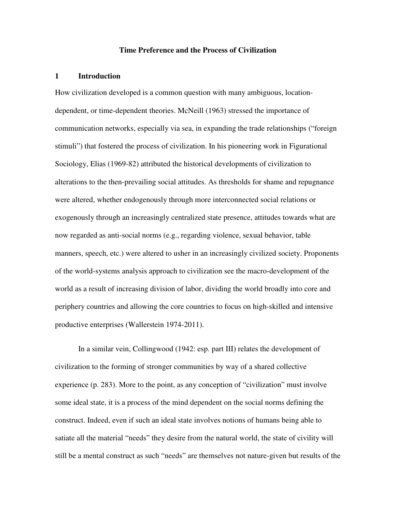## **Time Preference and the Process of Civilization**

## **1 Introduction**

How civilization developed is a common question with many ambiguous, locationdependent, or time-dependent theories. McNeill (1963) stressed the importance of communication networks, especially via sea, in expanding the trade relationships ("foreign stimuli") that fostered the process of civilization. In his pioneering work in Figurational Sociology, Elias (1969-82) attributed the historical developments of civilization to alterations to the then-prevailing social attitudes. As thresholds for shame and repugnance were altered, whether endogenously through more interconnected social relations or exogenously through an increasingly centralized state presence, attitudes towards what are now regarded as anti-social norms (e.g., regarding violence, sexual behavior, table manners, speech, etc.) were altered to usher in an increasingly civilized society. Proponents of the world-systems analysis approach to civilization see the macro-development of the world as a result of increasing division of labor, dividing the world broadly into core and periphery countries and allowing the core countries to focus on high-skilled and intensive productive enterprises (Wallerstein 1974-2011).

 In a similar vein, Collingwood (1942: esp. part III) relates the development of civilization to the forming of stronger communities by way of a shared collective experience (p. 283). More to the point, as any conception of "civilization" must involve some ideal state, it is a process of the mind dependent on the social norms defining the construct. Indeed, even if such an ideal state involves notions of humans being able to satiate all the material "needs" they desire from the natural world, the state of civility will still be a mental construct as such "needs" are themselves not nature-given but results of the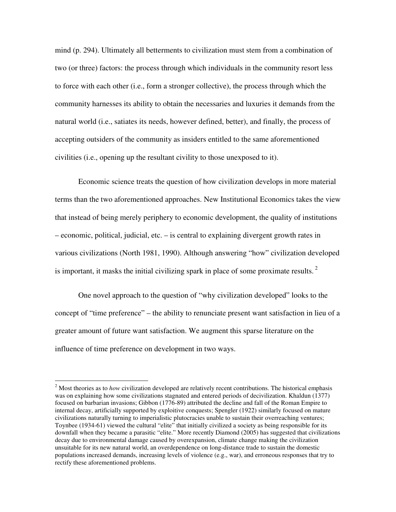mind (p. 294). Ultimately all betterments to civilization must stem from a combination of two (or three) factors: the process through which individuals in the community resort less to force with each other (i.e., form a stronger collective), the process through which the community harnesses its ability to obtain the necessaries and luxuries it demands from the natural world (i.e., satiates its needs, however defined, better), and finally, the process of accepting outsiders of the community as insiders entitled to the same aforementioned civilities (i.e., opening up the resultant civility to those unexposed to it).

Economic science treats the question of how civilization develops in more material terms than the two aforementioned approaches. New Institutional Economics takes the view that instead of being merely periphery to economic development, the quality of institutions – economic, political, judicial, etc. – is central to explaining divergent growth rates in various civilizations (North 1981, 1990). Although answering "how" civilization developed is important, it masks the initial civilizing spark in place of some proximate results. $<sup>2</sup>$ </sup>

 One novel approach to the question of "why civilization developed" looks to the concept of "time preference" – the ability to renunciate present want satisfaction in lieu of a greater amount of future want satisfaction. We augment this sparse literature on the influence of time preference on development in two ways.

 $2^{2}$  Most theories as to *how* civilization developed are relatively recent contributions. The historical emphasis was on explaining how some civilizations stagnated and entered periods of decivilization. Khaldun (1377) focused on barbarian invasions; Gibbon (1776-89) attributed the decline and fall of the Roman Empire to internal decay, artificially supported by exploitive conquests; Spengler (1922) similarly focused on mature civilizations naturally turning to imperialistic plutocracies unable to sustain their overreaching ventures; Toynbee (1934-61) viewed the cultural "elite" that initially civilized a society as being responsible for its downfall when they became a parasitic "elite." More recently Diamond (2005) has suggested that civilizations decay due to environmental damage caused by overexpansion, climate change making the civilization unsuitable for its new natural world, an overdependence on long-distance trade to sustain the domestic populations increased demands, increasing levels of violence (e.g., war), and erroneous responses that try to rectify these aforementioned problems.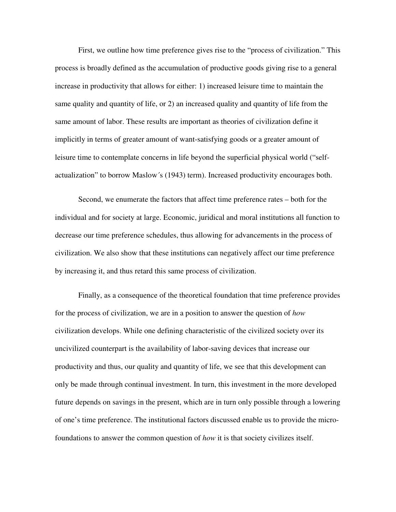First, we outline how time preference gives rise to the "process of civilization." This process is broadly defined as the accumulation of productive goods giving rise to a general increase in productivity that allows for either: 1) increased leisure time to maintain the same quality and quantity of life, or 2) an increased quality and quantity of life from the same amount of labor. These results are important as theories of civilization define it implicitly in terms of greater amount of want-satisfying goods or a greater amount of leisure time to contemplate concerns in life beyond the superficial physical world ("selfactualization" to borrow Maslow´s (1943) term). Increased productivity encourages both.

Second, we enumerate the factors that affect time preference rates – both for the individual and for society at large. Economic, juridical and moral institutions all function to decrease our time preference schedules, thus allowing for advancements in the process of civilization. We also show that these institutions can negatively affect our time preference by increasing it, and thus retard this same process of civilization.

Finally, as a consequence of the theoretical foundation that time preference provides for the process of civilization, we are in a position to answer the question of *how* civilization develops. While one defining characteristic of the civilized society over its uncivilized counterpart is the availability of labor-saving devices that increase our productivity and thus, our quality and quantity of life, we see that this development can only be made through continual investment. In turn, this investment in the more developed future depends on savings in the present, which are in turn only possible through a lowering of one's time preference. The institutional factors discussed enable us to provide the microfoundations to answer the common question of *how* it is that society civilizes itself.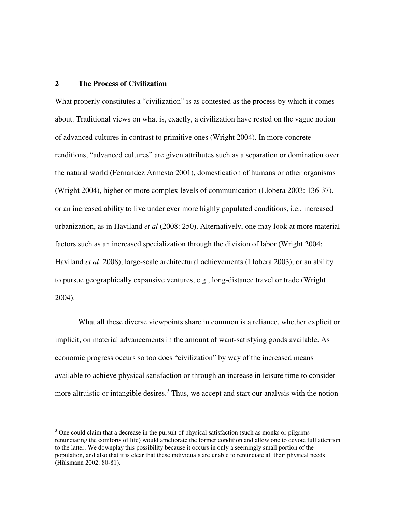## **2 The Process of Civilization**

 $\overline{a}$ 

What properly constitutes a "civilization" is as contested as the process by which it comes about. Traditional views on what is, exactly, a civilization have rested on the vague notion of advanced cultures in contrast to primitive ones (Wright 2004). In more concrete renditions, "advanced cultures" are given attributes such as a separation or domination over the natural world (Fernandez Armesto 2001), domestication of humans or other organisms (Wright 2004), higher or more complex levels of communication (Llobera 2003: 136-37), or an increased ability to live under ever more highly populated conditions, i.e., increased urbanization, as in Haviland *et al* (2008: 250). Alternatively, one may look at more material factors such as an increased specialization through the division of labor (Wright 2004; Haviland *et al*. 2008), large-scale architectural achievements (Llobera 2003), or an ability to pursue geographically expansive ventures, e.g., long-distance travel or trade (Wright 2004).

 What all these diverse viewpoints share in common is a reliance, whether explicit or implicit, on material advancements in the amount of want-satisfying goods available. As economic progress occurs so too does "civilization" by way of the increased means available to achieve physical satisfaction or through an increase in leisure time to consider more altruistic or intangible desires.<sup>3</sup> Thus, we accept and start our analysis with the notion

 $3$  One could claim that a decrease in the pursuit of physical satisfaction (such as monks or pilgrims renunciating the comforts of life) would ameliorate the former condition and allow one to devote full attention to the latter. We downplay this possibility because it occurs in only a seemingly small portion of the population, and also that it is clear that these individuals are unable to renunciate all their physical needs (Hülsmann 2002: 80-81).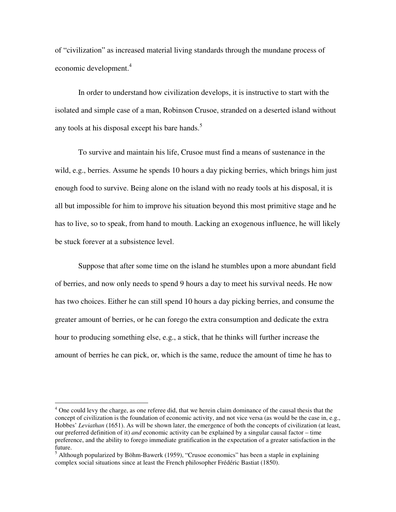of "civilization" as increased material living standards through the mundane process of economic development.<sup>4</sup>

In order to understand how civilization develops, it is instructive to start with the isolated and simple case of a man, Robinson Crusoe, stranded on a deserted island without any tools at his disposal except his bare hands.<sup>5</sup>

To survive and maintain his life, Crusoe must find a means of sustenance in the wild, e.g., berries. Assume he spends 10 hours a day picking berries, which brings him just enough food to survive. Being alone on the island with no ready tools at his disposal, it is all but impossible for him to improve his situation beyond this most primitive stage and he has to live, so to speak, from hand to mouth. Lacking an exogenous influence, he will likely be stuck forever at a subsistence level.

Suppose that after some time on the island he stumbles upon a more abundant field of berries, and now only needs to spend 9 hours a day to meet his survival needs. He now has two choices. Either he can still spend 10 hours a day picking berries, and consume the greater amount of berries, or he can forego the extra consumption and dedicate the extra hour to producing something else, e.g., a stick, that he thinks will further increase the amount of berries he can pick, or, which is the same, reduce the amount of time he has to

<sup>&</sup>lt;sup>4</sup> One could levy the charge, as one referee did, that we herein claim dominance of the causal thesis that the concept of civilization is the foundation of economic activity, and not vice versa (as would be the case in, e.g., Hobbes' *Leviathan* (1651). As will be shown later, the emergence of both the concepts of civilization (at least, our preferred definition of it) *and* economic activity can be explained by a singular causal factor – time preference, and the ability to forego immediate gratification in the expectation of a greater satisfaction in the future.

<sup>&</sup>lt;sup>5</sup> Although popularized by Böhm-Bawerk (1959), "Crusoe economics" has been a staple in explaining complex social situations since at least the French philosopher Frédéric Bastiat (1850).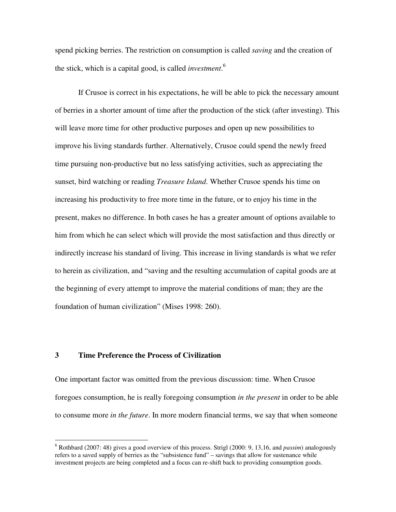spend picking berries. The restriction on consumption is called *saving* and the creation of the stick, which is a capital good, is called *investment*. 6

If Crusoe is correct in his expectations, he will be able to pick the necessary amount of berries in a shorter amount of time after the production of the stick (after investing). This will leave more time for other productive purposes and open up new possibilities to improve his living standards further. Alternatively, Crusoe could spend the newly freed time pursuing non-productive but no less satisfying activities, such as appreciating the sunset, bird watching or reading *Treasure Island*. Whether Crusoe spends his time on increasing his productivity to free more time in the future, or to enjoy his time in the present, makes no difference. In both cases he has a greater amount of options available to him from which he can select which will provide the most satisfaction and thus directly or indirectly increase his standard of living. This increase in living standards is what we refer to herein as civilization, and "saving and the resulting accumulation of capital goods are at the beginning of every attempt to improve the material conditions of man; they are the foundation of human civilization" (Mises 1998: 260).

## **3 Time Preference the Process of Civilization**

 $\overline{a}$ 

One important factor was omitted from the previous discussion: time. When Crusoe foregoes consumption, he is really foregoing consumption *in the present* in order to be able to consume more *in the future*. In more modern financial terms, we say that when someone

<sup>6</sup> Rothbard (2007: 48) gives a good overview of this process. Strigl (2000: 9, 13,16, and *passim*) analogously refers to a saved supply of berries as the "subsistence fund" – savings that allow for sustenance while investment projects are being completed and a focus can re-shift back to providing consumption goods.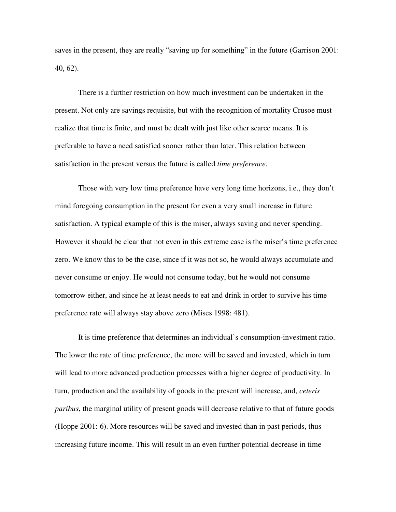saves in the present, they are really "saving up for something" in the future (Garrison 2001: 40, 62).

There is a further restriction on how much investment can be undertaken in the present. Not only are savings requisite, but with the recognition of mortality Crusoe must realize that time is finite, and must be dealt with just like other scarce means. It is preferable to have a need satisfied sooner rather than later. This relation between satisfaction in the present versus the future is called *time preference*.

Those with very low time preference have very long time horizons, i.e., they don't mind foregoing consumption in the present for even a very small increase in future satisfaction. A typical example of this is the miser, always saving and never spending. However it should be clear that not even in this extreme case is the miser's time preference zero. We know this to be the case, since if it was not so, he would always accumulate and never consume or enjoy. He would not consume today, but he would not consume tomorrow either, and since he at least needs to eat and drink in order to survive his time preference rate will always stay above zero (Mises 1998: 481).

It is time preference that determines an individual's consumption-investment ratio. The lower the rate of time preference, the more will be saved and invested, which in turn will lead to more advanced production processes with a higher degree of productivity. In turn, production and the availability of goods in the present will increase, and, *ceteris paribus*, the marginal utility of present goods will decrease relative to that of future goods (Hoppe 2001: 6). More resources will be saved and invested than in past periods, thus increasing future income. This will result in an even further potential decrease in time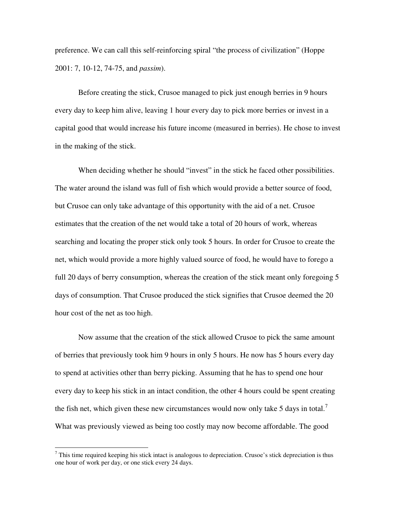preference. We can call this self-reinforcing spiral "the process of civilization" (Hoppe 2001: 7, 10-12, 74-75, and *passim*).

Before creating the stick, Crusoe managed to pick just enough berries in 9 hours every day to keep him alive, leaving 1 hour every day to pick more berries or invest in a capital good that would increase his future income (measured in berries). He chose to invest in the making of the stick.

When deciding whether he should "invest" in the stick he faced other possibilities. The water around the island was full of fish which would provide a better source of food, but Crusoe can only take advantage of this opportunity with the aid of a net. Crusoe estimates that the creation of the net would take a total of 20 hours of work, whereas searching and locating the proper stick only took 5 hours. In order for Crusoe to create the net, which would provide a more highly valued source of food, he would have to forego a full 20 days of berry consumption, whereas the creation of the stick meant only foregoing 5 days of consumption. That Crusoe produced the stick signifies that Crusoe deemed the 20 hour cost of the net as too high.

Now assume that the creation of the stick allowed Crusoe to pick the same amount of berries that previously took him 9 hours in only 5 hours. He now has 5 hours every day to spend at activities other than berry picking. Assuming that he has to spend one hour every day to keep his stick in an intact condition, the other 4 hours could be spent creating the fish net, which given these new circumstances would now only take 5 days in total. What was previously viewed as being too costly may now become affordable. The good

 $<sup>7</sup>$  This time required keeping his stick intact is analogous to depreciation. Crusoe's stick depreciation is thus</sup> one hour of work per day, or one stick every 24 days.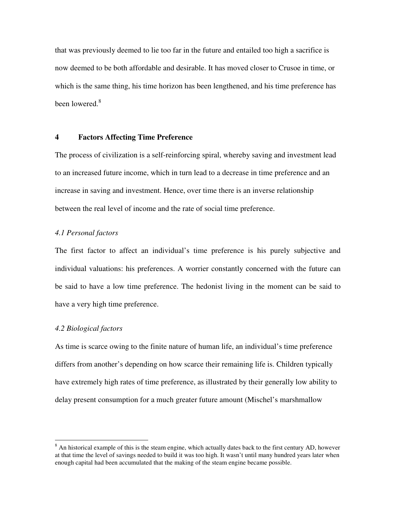that was previously deemed to lie too far in the future and entailed too high a sacrifice is now deemed to be both affordable and desirable. It has moved closer to Crusoe in time, or which is the same thing, his time horizon has been lengthened, and his time preference has been lowered.<sup>8</sup>

## **4 Factors Affecting Time Preference**

The process of civilization is a self-reinforcing spiral, whereby saving and investment lead to an increased future income, which in turn lead to a decrease in time preference and an increase in saving and investment. Hence, over time there is an inverse relationship between the real level of income and the rate of social time preference.

## *4.1 Personal factors*

The first factor to affect an individual's time preference is his purely subjective and individual valuations: his preferences. A worrier constantly concerned with the future can be said to have a low time preference. The hedonist living in the moment can be said to have a very high time preference.

## *4.2 Biological factors*

 $\overline{a}$ 

As time is scarce owing to the finite nature of human life, an individual's time preference differs from another's depending on how scarce their remaining life is. Children typically have extremely high rates of time preference, as illustrated by their generally low ability to delay present consumption for a much greater future amount (Mischel's marshmallow

 $8$  An historical example of this is the steam engine, which actually dates back to the first century AD, however at that time the level of savings needed to build it was too high. It wasn't until many hundred years later when enough capital had been accumulated that the making of the steam engine became possible.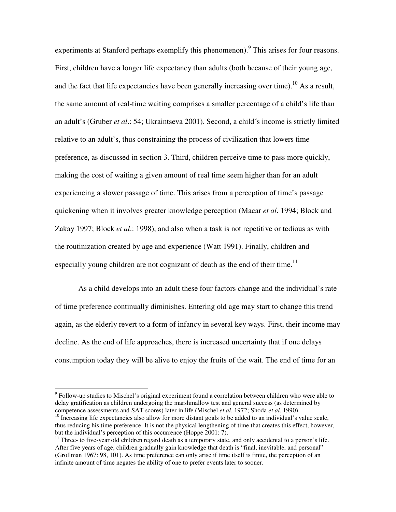experiments at Stanford perhaps exemplify this phenomenon). <sup>9</sup> This arises for four reasons. First, children have a longer life expectancy than adults (both because of their young age, and the fact that life expectancies have been generally increasing over time).<sup>10</sup> As a result, the same amount of real-time waiting comprises a smaller percentage of a child's life than an adult's (Gruber *et al*.: 54; Ukraintseva 2001). Second, a child´s income is strictly limited relative to an adult's, thus constraining the process of civilization that lowers time preference, as discussed in section 3. Third, children perceive time to pass more quickly, making the cost of waiting a given amount of real time seem higher than for an adult experiencing a slower passage of time. This arises from a perception of time's passage quickening when it involves greater knowledge perception (Macar *et al*. 1994; Block and Zakay 1997; Block *et al*.: 1998), and also when a task is not repetitive or tedious as with the routinization created by age and experience (Watt 1991). Finally, children and especially young children are not cognizant of death as the end of their time.<sup>11</sup>

 As a child develops into an adult these four factors change and the individual's rate of time preference continually diminishes. Entering old age may start to change this trend again, as the elderly revert to a form of infancy in several key ways. First, their income may decline. As the end of life approaches, there is increased uncertainty that if one delays consumption today they will be alive to enjoy the fruits of the wait. The end of time for an

<sup>&</sup>lt;sup>9</sup> Follow-up studies to Mischel's original experiment found a correlation between children who were able to delay gratification as children undergoing the marshmallow test and general success (as determined by competence assessments and SAT scores) later in life (Mischel *et al*. 1972; Shoda *et al*. 1990).

 $10$  Increasing life expectancies also allow for more distant goals to be added to an individual's value scale, thus reducing his time preference. It is not the physical lengthening of time that creates this effect, however, but the individual's perception of this occurrence (Hoppe 2001: 7).

<sup>&</sup>lt;sup>11</sup> Three- to five-year old children regard death as a temporary state, and only accidental to a person's life. After five years of age, children gradually gain knowledge that death is "final, inevitable, and personal" (Grollman 1967: 98, 101). As time preference can only arise if time itself is finite, the perception of an infinite amount of time negates the ability of one to prefer events later to sooner.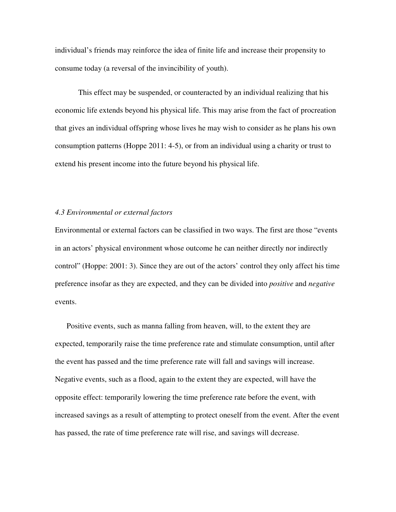individual's friends may reinforce the idea of finite life and increase their propensity to consume today (a reversal of the invincibility of youth).

 This effect may be suspended, or counteracted by an individual realizing that his economic life extends beyond his physical life. This may arise from the fact of procreation that gives an individual offspring whose lives he may wish to consider as he plans his own consumption patterns (Hoppe 2011: 4-5), or from an individual using a charity or trust to extend his present income into the future beyond his physical life.

#### *4.3 Environmental or external factors*

Environmental or external factors can be classified in two ways. The first are those "events in an actors' physical environment whose outcome he can neither directly nor indirectly control" (Hoppe: 2001: 3). Since they are out of the actors' control they only affect his time preference insofar as they are expected, and they can be divided into *positive* and *negative* events.

Positive events, such as manna falling from heaven, will, to the extent they are expected, temporarily raise the time preference rate and stimulate consumption, until after the event has passed and the time preference rate will fall and savings will increase. Negative events, such as a flood, again to the extent they are expected, will have the opposite effect: temporarily lowering the time preference rate before the event, with increased savings as a result of attempting to protect oneself from the event. After the event has passed, the rate of time preference rate will rise, and savings will decrease.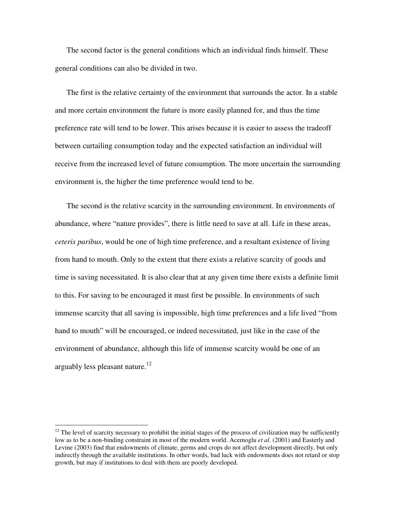The second factor is the general conditions which an individual finds himself. These general conditions can also be divided in two.

The first is the relative certainty of the environment that surrounds the actor. In a stable and more certain environment the future is more easily planned for, and thus the time preference rate will tend to be lower. This arises because it is easier to assess the tradeoff between curtailing consumption today and the expected satisfaction an individual will receive from the increased level of future consumption. The more uncertain the surrounding environment is, the higher the time preference would tend to be.

The second is the relative scarcity in the surrounding environment. In environments of abundance, where "nature provides", there is little need to save at all. Life in these areas, *ceteris paribus*, would be one of high time preference, and a resultant existence of living from hand to mouth. Only to the extent that there exists a relative scarcity of goods and time is saving necessitated. It is also clear that at any given time there exists a definite limit to this. For saving to be encouraged it must first be possible. In environments of such immense scarcity that all saving is impossible, high time preferences and a life lived "from hand to mouth" will be encouraged, or indeed necessitated, just like in the case of the environment of abundance, although this life of immense scarcity would be one of an arguably less pleasant nature. $12$ 

l

 $12$  The level of scarcity necessary to prohibit the initial stages of the process of civilization may be sufficiently low as to be a non-binding constraint in most of the modern world. Acemoglu *et al*. (2001) and Easterly and Levine (2003) find that endowments of climate, germs and crops do not affect development directly, but only indirectly through the available institutions. In other words, bad luck with endowments does not retard or stop growth, but may if institutions to deal with them are poorly developed.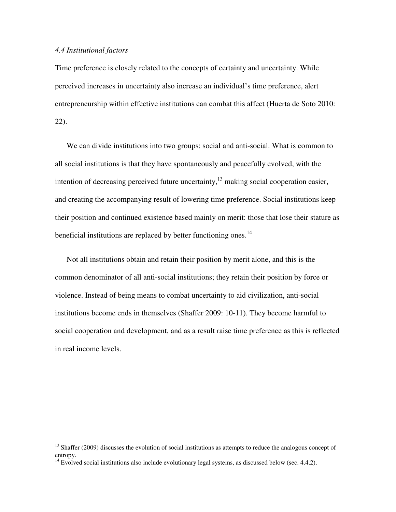# *4.4 Institutional factors*

 $\overline{a}$ 

Time preference is closely related to the concepts of certainty and uncertainty. While perceived increases in uncertainty also increase an individual's time preference, alert entrepreneurship within effective institutions can combat this affect (Huerta de Soto 2010: 22).

We can divide institutions into two groups: social and anti-social. What is common to all social institutions is that they have spontaneously and peacefully evolved, with the intention of decreasing perceived future uncertainty,<sup>13</sup> making social cooperation easier, and creating the accompanying result of lowering time preference. Social institutions keep their position and continued existence based mainly on merit: those that lose their stature as beneficial institutions are replaced by better functioning ones.<sup>14</sup>

Not all institutions obtain and retain their position by merit alone, and this is the common denominator of all anti-social institutions; they retain their position by force or violence. Instead of being means to combat uncertainty to aid civilization, anti-social institutions become ends in themselves (Shaffer 2009: 10-11). They become harmful to social cooperation and development, and as a result raise time preference as this is reflected in real income levels.

<sup>&</sup>lt;sup>13</sup> Shaffer (2009) discusses the evolution of social institutions as attempts to reduce the analogous concept of entropy.

 $14$  Evolved social institutions also include evolutionary legal systems, as discussed below (sec. 4.4.2).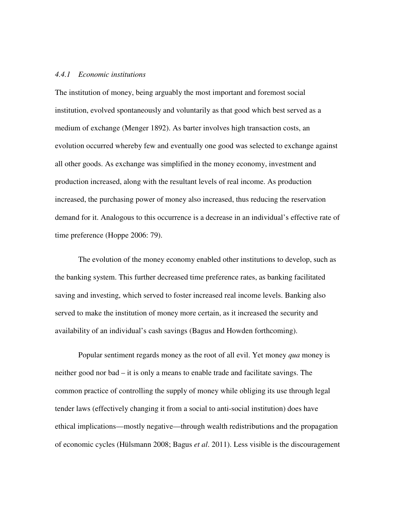## *4.4.1 Economic institutions*

The institution of money, being arguably the most important and foremost social institution, evolved spontaneously and voluntarily as that good which best served as a medium of exchange (Menger 1892). As barter involves high transaction costs, an evolution occurred whereby few and eventually one good was selected to exchange against all other goods. As exchange was simplified in the money economy, investment and production increased, along with the resultant levels of real income. As production increased, the purchasing power of money also increased, thus reducing the reservation demand for it. Analogous to this occurrence is a decrease in an individual's effective rate of time preference (Hoppe 2006: 79).

The evolution of the money economy enabled other institutions to develop, such as the banking system. This further decreased time preference rates, as banking facilitated saving and investing, which served to foster increased real income levels. Banking also served to make the institution of money more certain, as it increased the security and availability of an individual's cash savings (Bagus and Howden forthcoming).

Popular sentiment regards money as the root of all evil. Yet money *qua* money is neither good nor bad – it is only a means to enable trade and facilitate savings. The common practice of controlling the supply of money while obliging its use through legal tender laws (effectively changing it from a social to anti-social institution) does have ethical implications—mostly negative—through wealth redistributions and the propagation of economic cycles (Hülsmann 2008; Bagus *et al*. 2011). Less visible is the discouragement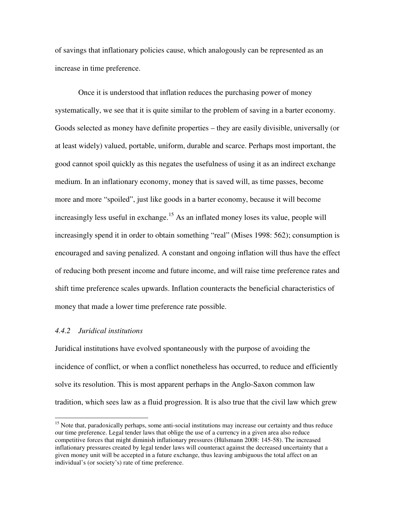of savings that inflationary policies cause, which analogously can be represented as an increase in time preference.

Once it is understood that inflation reduces the purchasing power of money systematically, we see that it is quite similar to the problem of saving in a barter economy. Goods selected as money have definite properties – they are easily divisible, universally (or at least widely) valued, portable, uniform, durable and scarce. Perhaps most important, the good cannot spoil quickly as this negates the usefulness of using it as an indirect exchange medium. In an inflationary economy, money that is saved will, as time passes, become more and more "spoiled", just like goods in a barter economy, because it will become increasingly less useful in exchange.<sup>15</sup> As an inflated money loses its value, people will increasingly spend it in order to obtain something "real" (Mises 1998: 562); consumption is encouraged and saving penalized. A constant and ongoing inflation will thus have the effect of reducing both present income and future income, and will raise time preference rates and shift time preference scales upwards. Inflation counteracts the beneficial characteristics of money that made a lower time preference rate possible.

# *4.4.2 Juridical institutions*

 $\overline{a}$ 

Juridical institutions have evolved spontaneously with the purpose of avoiding the incidence of conflict, or when a conflict nonetheless has occurred, to reduce and efficiently solve its resolution. This is most apparent perhaps in the Anglo-Saxon common law tradition, which sees law as a fluid progression. It is also true that the civil law which grew

<sup>&</sup>lt;sup>15</sup> Note that, paradoxically perhaps, some anti-social institutions may increase our certainty and thus reduce our time preference. Legal tender laws that oblige the use of a currency in a given area also reduce competitive forces that might diminish inflationary pressures (Hülsmann 2008: 145-58). The increased inflationary pressures created by legal tender laws will counteract against the decreased uncertainty that a given money unit will be accepted in a future exchange, thus leaving ambiguous the total affect on an individual's (or society's) rate of time preference.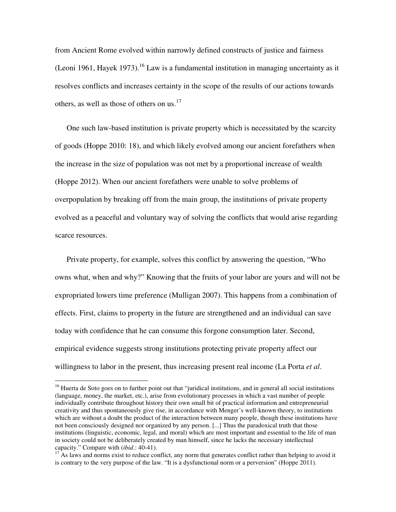from Ancient Rome evolved within narrowly defined constructs of justice and fairness (Leoni 1961, Hayek 1973).<sup>16</sup> Law is a fundamental institution in managing uncertainty as it resolves conflicts and increases certainty in the scope of the results of our actions towards others, as well as those of others on us.<sup>17</sup>

One such law-based institution is private property which is necessitated by the scarcity of goods (Hoppe 2010: 18), and which likely evolved among our ancient forefathers when the increase in the size of population was not met by a proportional increase of wealth (Hoppe 2012). When our ancient forefathers were unable to solve problems of overpopulation by breaking off from the main group, the institutions of private property evolved as a peaceful and voluntary way of solving the conflicts that would arise regarding scarce resources.

Private property, for example, solves this conflict by answering the question, "Who owns what, when and why?" Knowing that the fruits of your labor are yours and will not be expropriated lowers time preference (Mulligan 2007). This happens from a combination of effects. First, claims to property in the future are strengthened and an individual can save today with confidence that he can consume this forgone consumption later. Second, empirical evidence suggests strong institutions protecting private property affect our willingness to labor in the present, thus increasing present real income (La Porta *et al*.

<sup>&</sup>lt;sup>16</sup> Huerta de Soto goes on to further point out that "juridical institutions, and in general all social institutions (language, money, the market, etc.), arise from evolutionary processes in which a vast number of people individually contribute throughout history their own small bit of practical information and entrepreneurial creativity and thus spontaneously give rise, in accordance with Menger's well-known theory, to institutions which are without a doubt the product of the interaction between many people, though these institutions have not been consciously designed nor organized by any person. [...] Thus the paradoxical truth that those institutions (linguistic, economic, legal, and moral) which are most important and essential to the life of man in society could not be deliberately created by man himself, since he lacks the necessary intellectual capacity." Compare with (*ibid*.: 40-41).

 $17$  As laws and norms exist to reduce conflict, any norm that generates conflict rather than helping to avoid it is contrary to the very purpose of the law. "It is a dysfunctional norm or a perversion" (Hoppe 2011).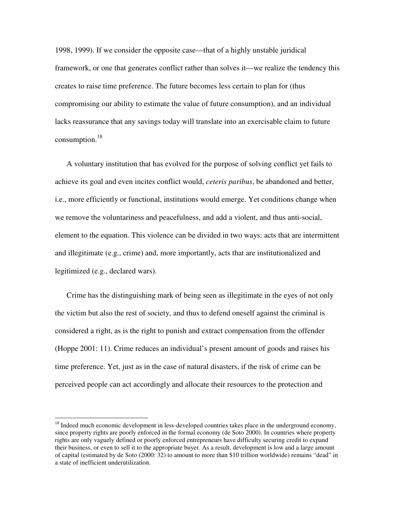1998, 1999). If we consider the opposite case—that of a highly unstable juridical framework, or one that generates conflict rather than solves it—we realize the tendency this creates to raise time preference. The future becomes less certain to plan for (thus compromising our ability to estimate the value of future consumption), and an individual lacks reassurance that any savings today will translate into an exercisable claim to future consumption. $^{18}$ 

A voluntary institution that has evolved for the purpose of solving conflict yet fails to achieve its goal and even incites conflict would, *ceteris paribus*, be abandoned and better, i.e., more efficiently or functional, institutions would emerge. Yet conditions change when we remove the voluntariness and peacefulness, and add a violent, and thus anti-social, element to the equation. This violence can be divided in two ways: acts that are intermittent and illegitimate (e.g., crime) and, more importantly, acts that are institutionalized and legitimized (e.g., declared wars).

Crime has the distinguishing mark of being seen as illegitimate in the eyes of not only the victim but also the rest of society, and thus to defend oneself against the criminal is considered a right, as is the right to punish and extract compensation from the offender (Hoppe 2001: 11). Crime reduces an individual's present amount of goods and raises his time preference. Yet, just as in the case of natural disasters, if the risk of crime can be perceived people can act accordingly and allocate their resources to the protection and

<sup>&</sup>lt;sup>18</sup> Indeed much economic development in less-developed countries takes place in the underground economy, since property rights are poorly enforced in the formal economy (de Soto 2000). In countries where property rights are only vaguely defined or poorly enforced entrepreneurs have difficulty securing credit to expand their business, or even to sell it to the appropriate buyer. As a result, development is low and a large amount of capital (estimated by de Soto (2000: 32) to amount to more than \$10 trillion worldwide) remains "dead" in a state of inefficient underutilization.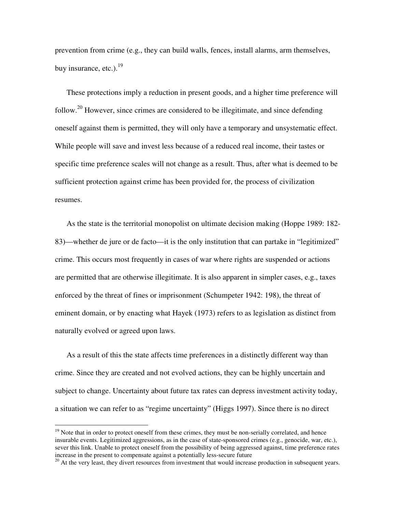prevention from crime (e.g., they can build walls, fences, install alarms, arm themselves, buy insurance, etc.).<sup>19</sup>

These protections imply a reduction in present goods, and a higher time preference will follow.<sup>20</sup> However, since crimes are considered to be illegitimate, and since defending oneself against them is permitted, they will only have a temporary and unsystematic effect. While people will save and invest less because of a reduced real income, their tastes or specific time preference scales will not change as a result. Thus, after what is deemed to be sufficient protection against crime has been provided for, the process of civilization resumes.

As the state is the territorial monopolist on ultimate decision making (Hoppe 1989: 182- 83)—whether de jure or de facto—it is the only institution that can partake in "legitimized" crime. This occurs most frequently in cases of war where rights are suspended or actions are permitted that are otherwise illegitimate. It is also apparent in simpler cases, e.g., taxes enforced by the threat of fines or imprisonment (Schumpeter 1942: 198), the threat of eminent domain, or by enacting what Hayek (1973) refers to as legislation as distinct from naturally evolved or agreed upon laws.

As a result of this the state affects time preferences in a distinctly different way than crime. Since they are created and not evolved actions, they can be highly uncertain and subject to change. Uncertainty about future tax rates can depress investment activity today, a situation we can refer to as "regime uncertainty" (Higgs 1997). Since there is no direct

l

<sup>&</sup>lt;sup>19</sup> Note that in order to protect oneself from these crimes, they must be non-serially correlated, and hence insurable events. Legitimized aggressions, as in the case of state-sponsored crimes (e.g., genocide, war, etc.), sever this link. Unable to protect oneself from the possibility of being aggressed against, time preference rates increase in the present to compensate against a potentially less-secure future

<sup>&</sup>lt;sup>20</sup> At the very least, they divert resources from investment that would increase production in subsequent years.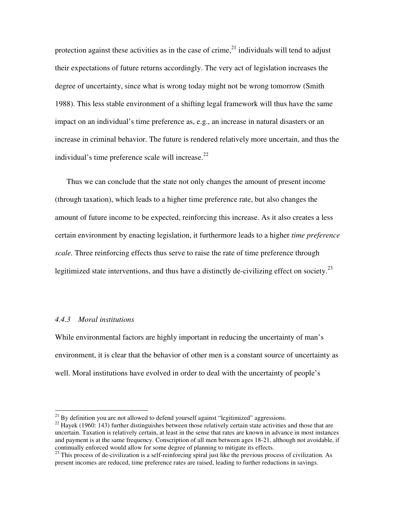protection against these activities as in the case of crime,  $2<sup>1</sup>$  individuals will tend to adjust their expectations of future returns accordingly. The very act of legislation increases the degree of uncertainty, since what is wrong today might not be wrong tomorrow (Smith 1988). This less stable environment of a shifting legal framework will thus have the same impact on an individual's time preference as, e.g., an increase in natural disasters or an increase in criminal behavior. The future is rendered relatively more uncertain, and thus the individual's time preference scale will increase. $22$ 

Thus we can conclude that the state not only changes the amount of present income (through taxation), which leads to a higher time preference rate, but also changes the amount of future income to be expected, reinforcing this increase. As it also creates a less certain environment by enacting legislation, it furthermore leads to a higher *time preference scale.* Three reinforcing effects thus serve to raise the rate of time preference through legitimized state interventions, and thus have a distinctly de-civilizing effect on society.<sup>23</sup>

## *4.4.3 Moral institutions*

 $\overline{a}$ 

While environmental factors are highly important in reducing the uncertainty of man's environment, it is clear that the behavior of other men is a constant source of uncertainty as well. Moral institutions have evolved in order to deal with the uncertainty of people's

 $21$  By definition you are not allowed to defend yourself against "legitimized" aggressions.

 $^{22}$  Hayek (1960: 143) further distinguishes between those relatively certain state activities and those that are uncertain. Taxation is relatively certain, at least in the sense that rates are known in advance in most instances and payment is at the same frequency. Conscription of all men between ages 18-21, although not avoidable, if continually enforced would allow for some degree of planning to mitigate its effects.

 $^{23}$  This process of de-civilization is a self-reinforcing spiral just like the previous process of civilization. As present incomes are reduced, time preference rates are raised, leading to further reductions in savings.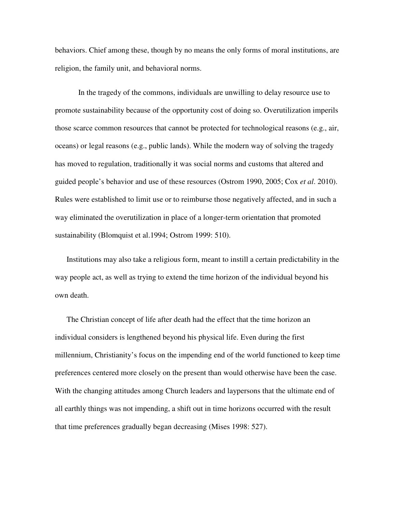behaviors. Chief among these, though by no means the only forms of moral institutions, are religion, the family unit, and behavioral norms.

 In the tragedy of the commons, individuals are unwilling to delay resource use to promote sustainability because of the opportunity cost of doing so. Overutilization imperils those scarce common resources that cannot be protected for technological reasons (e.g., air, oceans) or legal reasons (e.g., public lands). While the modern way of solving the tragedy has moved to regulation, traditionally it was social norms and customs that altered and guided people's behavior and use of these resources (Ostrom 1990, 2005; Cox *et al*. 2010). Rules were established to limit use or to reimburse those negatively affected, and in such a way eliminated the overutilization in place of a longer-term orientation that promoted sustainability (Blomquist et al.1994; Ostrom 1999: 510).

Institutions may also take a religious form, meant to instill a certain predictability in the way people act, as well as trying to extend the time horizon of the individual beyond his own death.

The Christian concept of life after death had the effect that the time horizon an individual considers is lengthened beyond his physical life. Even during the first millennium, Christianity's focus on the impending end of the world functioned to keep time preferences centered more closely on the present than would otherwise have been the case. With the changing attitudes among Church leaders and laypersons that the ultimate end of all earthly things was not impending, a shift out in time horizons occurred with the result that time preferences gradually began decreasing (Mises 1998: 527).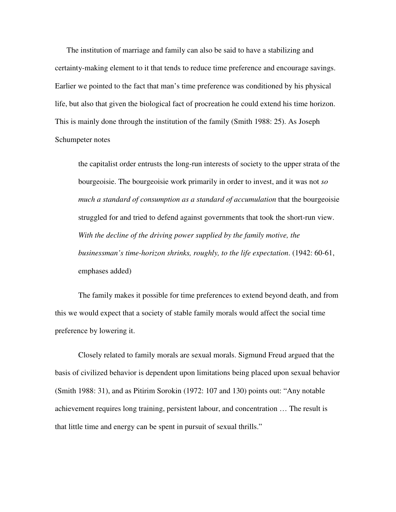The institution of marriage and family can also be said to have a stabilizing and certainty-making element to it that tends to reduce time preference and encourage savings. Earlier we pointed to the fact that man's time preference was conditioned by his physical life, but also that given the biological fact of procreation he could extend his time horizon. This is mainly done through the institution of the family (Smith 1988: 25). As Joseph Schumpeter notes

the capitalist order entrusts the long-run interests of society to the upper strata of the bourgeoisie. The bourgeoisie work primarily in order to invest, and it was not *so much a standard of consumption as a standard of accumulation* that the bourgeoisie struggled for and tried to defend against governments that took the short-run view. *With the decline of the driving power supplied by the family motive, the businessman's time-horizon shrinks, roughly, to the life expectation*. (1942: 60-61, emphases added)

The family makes it possible for time preferences to extend beyond death, and from this we would expect that a society of stable family morals would affect the social time preference by lowering it.

Closely related to family morals are sexual morals. Sigmund Freud argued that the basis of civilized behavior is dependent upon limitations being placed upon sexual behavior (Smith 1988: 31), and as Pitirim Sorokin (1972: 107 and 130) points out: "Any notable achievement requires long training, persistent labour, and concentration … The result is that little time and energy can be spent in pursuit of sexual thrills."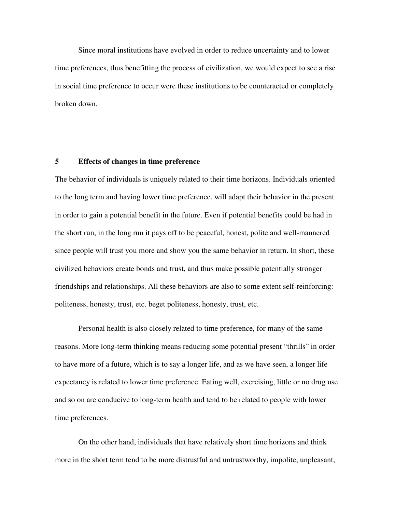Since moral institutions have evolved in order to reduce uncertainty and to lower time preferences, thus benefitting the process of civilization, we would expect to see a rise in social time preference to occur were these institutions to be counteracted or completely broken down.

# **5 Effects of changes in time preference**

The behavior of individuals is uniquely related to their time horizons. Individuals oriented to the long term and having lower time preference, will adapt their behavior in the present in order to gain a potential benefit in the future. Even if potential benefits could be had in the short run, in the long run it pays off to be peaceful, honest, polite and well-mannered since people will trust you more and show you the same behavior in return. In short, these civilized behaviors create bonds and trust, and thus make possible potentially stronger friendships and relationships. All these behaviors are also to some extent self-reinforcing: politeness, honesty, trust, etc. beget politeness, honesty, trust, etc.

Personal health is also closely related to time preference, for many of the same reasons. More long-term thinking means reducing some potential present "thrills" in order to have more of a future, which is to say a longer life, and as we have seen, a longer life expectancy is related to lower time preference. Eating well, exercising, little or no drug use and so on are conducive to long-term health and tend to be related to people with lower time preferences.

On the other hand, individuals that have relatively short time horizons and think more in the short term tend to be more distrustful and untrustworthy, impolite, unpleasant,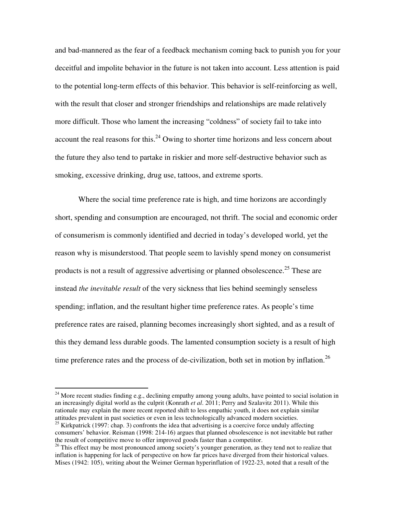and bad-mannered as the fear of a feedback mechanism coming back to punish you for your deceitful and impolite behavior in the future is not taken into account. Less attention is paid to the potential long-term effects of this behavior. This behavior is self-reinforcing as well, with the result that closer and stronger friendships and relationships are made relatively more difficult. Those who lament the increasing "coldness" of society fail to take into account the real reasons for this.<sup>24</sup> Owing to shorter time horizons and less concern about the future they also tend to partake in riskier and more self-destructive behavior such as smoking, excessive drinking, drug use, tattoos, and extreme sports.

Where the social time preference rate is high, and time horizons are accordingly short, spending and consumption are encouraged, not thrift. The social and economic order of consumerism is commonly identified and decried in today's developed world, yet the reason why is misunderstood. That people seem to lavishly spend money on consumerist products is not a result of aggressive advertising or planned obsolescence.<sup>25</sup> These are instead *the inevitable result* of the very sickness that lies behind seemingly senseless spending; inflation, and the resultant higher time preference rates. As people's time preference rates are raised, planning becomes increasingly short sighted, and as a result of this they demand less durable goods. The lamented consumption society is a result of high time preference rates and the process of de-civilization, both set in motion by inflation.<sup>26</sup>

<sup>&</sup>lt;sup>24</sup> More recent studies finding e.g., declining empathy among young adults, have pointed to social isolation in an increasingly digital world as the culprit (Konrath *et al*. 2011; Perry and Szalavitz 2011). While this rationale may explain the more recent reported shift to less empathic youth, it does not explain similar attitudes prevalent in past societies or even in less technologically advanced modern societies.

<sup>&</sup>lt;sup>25</sup> Kirkpatrick (1997: chap. 3) confronts the idea that advertising is a coercive force unduly affecting consumers' behavior. Reisman (1998: 214-16) argues that planned obsolescence is not inevitable but rather the result of competitive move to offer improved goods faster than a competitor.

<sup>&</sup>lt;sup>26</sup> This effect may be most pronounced among society's younger generation, as they tend not to realize that inflation is happening for lack of perspective on how far prices have diverged from their historical values. Mises (1942: 105), writing about the Weimer German hyperinflation of 1922-23, noted that a result of the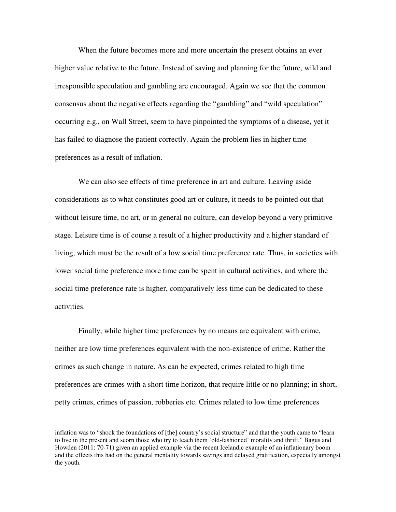When the future becomes more and more uncertain the present obtains an ever higher value relative to the future. Instead of saving and planning for the future, wild and irresponsible speculation and gambling are encouraged. Again we see that the common consensus about the negative effects regarding the "gambling" and "wild speculation" occurring e.g., on Wall Street, seem to have pinpointed the symptoms of a disease, yet it has failed to diagnose the patient correctly. Again the problem lies in higher time preferences as a result of inflation.

We can also see effects of time preference in art and culture. Leaving aside considerations as to what constitutes good art or culture, it needs to be pointed out that without leisure time, no art, or in general no culture, can develop beyond a very primitive stage. Leisure time is of course a result of a higher productivity and a higher standard of living, which must be the result of a low social time preference rate. Thus, in societies with lower social time preference more time can be spent in cultural activities, and where the social time preference rate is higher, comparatively less time can be dedicated to these activities.

Finally, while higher time preferences by no means are equivalent with crime, neither are low time preferences equivalent with the non-existence of crime. Rather the crimes as such change in nature. As can be expected, crimes related to high time preferences are crimes with a short time horizon, that require little or no planning; in short, petty crimes, crimes of passion, robberies etc. Crimes related to low time preferences

-

inflation was to "shock the foundations of [the] country's social structure" and that the youth came to "learn to live in the present and scorn those who try to teach them 'old-fashioned' morality and thrift." Bagus and Howden (2011: 70-71) given an applied example via the recent Icelandic example of an inflationary boom and the effects this had on the general mentality towards savings and delayed gratification, especially amongst the youth.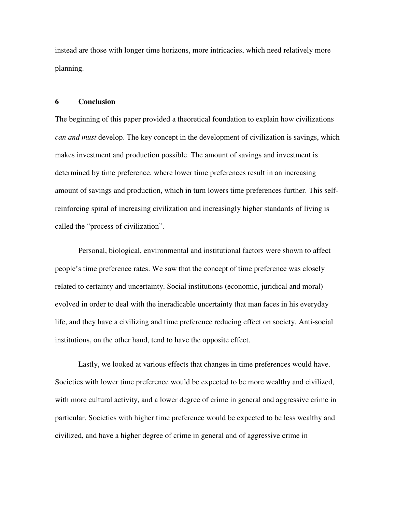instead are those with longer time horizons, more intricacies, which need relatively more planning.

## **6 Conclusion**

The beginning of this paper provided a theoretical foundation to explain how civilizations *can and must* develop. The key concept in the development of civilization is savings, which makes investment and production possible. The amount of savings and investment is determined by time preference, where lower time preferences result in an increasing amount of savings and production, which in turn lowers time preferences further. This selfreinforcing spiral of increasing civilization and increasingly higher standards of living is called the "process of civilization".

Personal, biological, environmental and institutional factors were shown to affect people's time preference rates. We saw that the concept of time preference was closely related to certainty and uncertainty. Social institutions (economic, juridical and moral) evolved in order to deal with the ineradicable uncertainty that man faces in his everyday life, and they have a civilizing and time preference reducing effect on society. Anti-social institutions, on the other hand, tend to have the opposite effect.

Lastly, we looked at various effects that changes in time preferences would have. Societies with lower time preference would be expected to be more wealthy and civilized, with more cultural activity, and a lower degree of crime in general and aggressive crime in particular. Societies with higher time preference would be expected to be less wealthy and civilized, and have a higher degree of crime in general and of aggressive crime in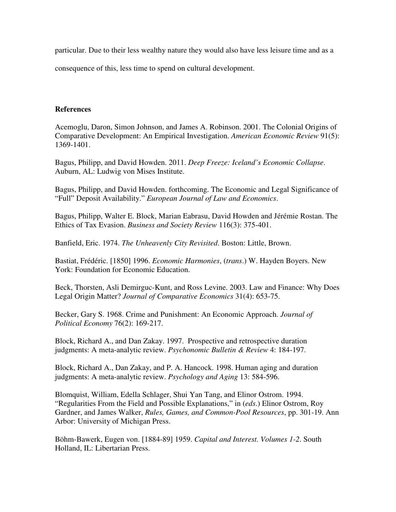particular. Due to their less wealthy nature they would also have less leisure time and as a

consequence of this, less time to spend on cultural development.

## **References**

Acemoglu, Daron, Simon Johnson, and James A. Robinson. 2001. The Colonial Origins of Comparative Development: An Empirical Investigation. *American Economic Review* 91(5): 1369-1401.

Bagus, Philipp, and David Howden. 2011. *Deep Freeze: Iceland's Economic Collapse*. Auburn, AL: Ludwig von Mises Institute.

Bagus, Philipp, and David Howden. forthcoming. The Economic and Legal Significance of "Full" Deposit Availability." *European Journal of Law and Economics*.

Bagus, Philipp, Walter E. Block, Marian Eabrasu, David Howden and Jérémie Rostan. The Ethics of Tax Evasion. *Business and Society Review* 116(3): 375-401.

Banfield, Eric. 1974. *The Unheavenly City Revisited*. Boston: Little, Brown.

Bastiat, Frédéric. [1850] 1996. *Economic Harmonies*, (*trans*.) W. Hayden Boyers. New York: Foundation for Economic Education.

Beck, Thorsten, Asli Demirguc-Kunt, and Ross Levine. 2003. Law and Finance: Why Does Legal Origin Matter? *Journal of Comparative Economics* 31(4): 653-75.

Becker, Gary S. 1968. Crime and Punishment: An Economic Approach. *Journal of Political Economy* 76(2): 169-217.

Block, Richard A., and Dan Zakay. 1997. Prospective and retrospective duration judgments: A meta-analytic review. *Psychonomic Bulletin & Review* 4: 184-197.

Block, Richard A., Dan Zakay, and P. A. Hancock. 1998. Human aging and duration judgments: A meta-analytic review. *Psychology and Aging* 13: 584-596.

Blomquist, William, Edella Schlager, Shui Yan Tang, and Elinor Ostrom. 1994. "Regularities From the Field and Possible Explanations," in (*eds*.) Elinor Ostrom, Roy Gardner, and James Walker, *Rules, Games, and Common-Pool Resources*, pp. 301-19. Ann Arbor: University of Michigan Press.

Böhm-Bawerk, Eugen von. [1884-89] 1959. *Capital and Interest. Volumes 1-2*. South Holland, IL: Libertarian Press.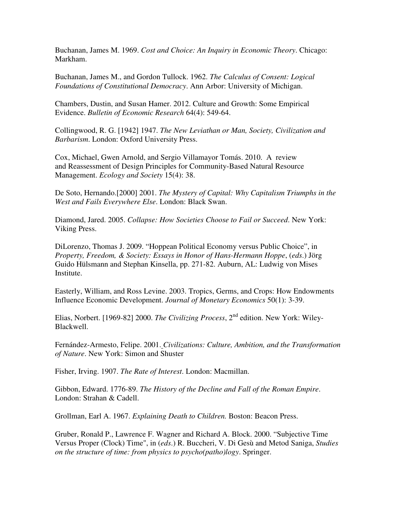Buchanan, James M. 1969. *Cost and Choice: An Inquiry in Economic Theory*. Chicago: Markham.

Buchanan, James M., and Gordon Tullock. 1962. *The Calculus of Consent: Logical Foundations of Constitutional Democracy*. Ann Arbor: University of Michigan.

Chambers, Dustin, and Susan Hamer. 2012. Culture and Growth: Some Empirical Evidence. *Bulletin of Economic Research* 64(4): 549-64.

Collingwood, R. G. [1942] 1947. *The New Leviathan or Man, Society, Civilization and Barbarism*. London: Oxford University Press.

Cox, Michael, Gwen Arnold, and Sergio Villamayor Tomás. 2010. A review and Reassessment of Design Principles for Community-Based Natural Resource Management. *Ecology and Society* 15(4): 38.

De Soto, Hernando.[2000] 2001. *The Mystery of Capital: Why Capitalism Triumphs in the West and Fails Everywhere Else*. London: Black Swan.

Diamond, Jared. 2005. *Collapse: How Societies Choose to Fail or Succeed*. New York: Viking Press.

DiLorenzo, Thomas J. 2009. "Hoppean Political Economy versus Public Choice", in *Property, Freedom, & Society: Essays in Honor of Hans-Hermann Hoppe*, (*eds*.) Jörg Guido Hülsmann and Stephan Kinsella, pp. 271-82. Auburn, AL: Ludwig von Mises Institute.

Easterly, William, and Ross Levine. 2003. Tropics, Germs, and Crops: How Endowments Influence Economic Development. *Journal of Monetary Economics* 50(1): 3-39.

Elias, Norbert. [1969-82] 2000. *The Civilizing Process*, 2nd edition. New York: Wiley-Blackwell.

Fernández-Armesto, Felipe. 2001. *Civilizations: Culture, Ambition, and the Transformation of Nature*. New York: Simon and Shuster

Fisher, Irving. 1907. *The Rate of Interest*. London: Macmillan.

Gibbon, Edward. 1776-89. *The History of the Decline and Fall of the Roman Empire*. London: Strahan & Cadell.

Grollman, Earl A. 1967. *Explaining Death to Children.* Boston: Beacon Press.

Gruber, Ronald P., Lawrence F. Wagner and Richard A. Block. 2000. "Subjective Time Versus Proper (Clock) Time", in (*eds*.) R. Buccheri, V. Di Gesù and Metod Saniga, *Studies on the structure of time: from physics to psycho(patho)logy*. Springer.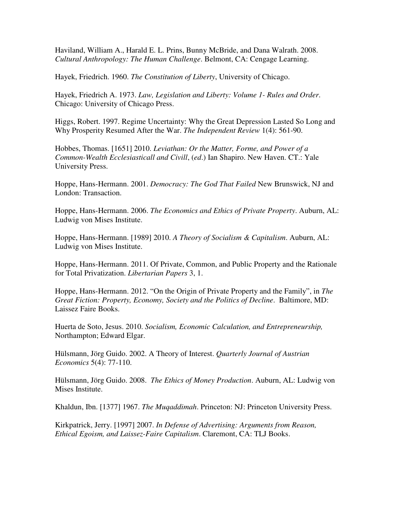Haviland, William A., Harald E. L. Prins, Bunny McBride, and Dana Walrath. 2008. *Cultural Anthropology: The Human Challenge*. Belmont, CA: Cengage Learning.

Hayek, Friedrich. 1960. *The Constitution of Liberty*, University of Chicago.

Hayek, Friedrich A. 1973. *Law, Legislation and Liberty: Volume 1- Rules and Order*. Chicago: University of Chicago Press.

Higgs, Robert. 1997. Regime Uncertainty: Why the Great Depression Lasted So Long and Why Prosperity Resumed After the War. *The Independent Review* 1(4): 561-90.

Hobbes, Thomas. [1651] 2010. *Leviathan: Or the Matter, Forme, and Power of a Common-Wealth Ecclesiasticall and Civill*, (*ed*.) Ian Shapiro. New Haven. CT.: Yale University Press.

Hoppe, Hans-Hermann. 2001. *Democracy: The God That Failed* New Brunswick, NJ and London: Transaction.

Hoppe, Hans-Hermann. 2006. *The Economics and Ethics of Private Property*. Auburn, AL: Ludwig von Mises Institute.

Hoppe, Hans-Hermann. [1989] 2010. *A Theory of Socialism & Capitalism*. Auburn, AL: Ludwig von Mises Institute.

Hoppe, Hans-Hermann. 2011. Of Private, Common, and Public Property and the Rationale for Total Privatization. *Libertarian Papers* 3, 1.

Hoppe, Hans-Hermann. 2012. "On the Origin of Private Property and the Family", in *The Great Fiction: Property, Economy, Society and the Politics of Decline*. Baltimore, MD: Laissez Faire Books.

Huerta de Soto, Jesus. 2010. *Socialism, Economic Calculation, and Entrepreneurship,*  Northampton; Edward Elgar.

Hülsmann, Jörg Guido. 2002. A Theory of Interest. *Quarterly Journal of Austrian Economics* 5(4): 77-110.

Hülsmann, Jörg Guido. 2008. *The Ethics of Money Production*. Auburn, AL: Ludwig von Mises Institute.

Khaldun, Ibn. [1377] 1967. *The Muqaddimah*. Princeton: NJ: Princeton University Press.

Kirkpatrick, Jerry. [1997] 2007. *In Defense of Advertising: Arguments from Reason, Ethical Egoism, and Laissez-Faire Capitalism*. Claremont, CA: TLJ Books.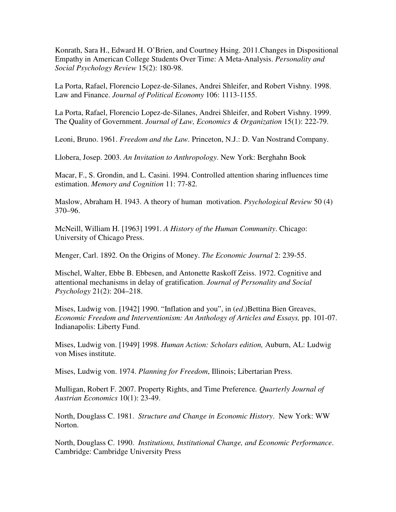Konrath, Sara H., Edward H. O'Brien, and Courtney Hsing. 2011.Changes in Dispositional Empathy in American College Students Over Time: A Meta-Analysis. *Personality and Social Psychology Review* 15(2): 180-98.

La Porta, Rafael, Florencio Lopez-de-Silanes, Andrei Shleifer, and Robert Vishny. 1998. Law and Finance. *Journal of Political Economy* 106: 1113-1155.

La Porta, Rafael, Florencio Lopez-de-Silanes, Andrei Shleifer, and Robert Vishny. 1999. The Quality of Government. *Journal of Law, Economics & Organization* 15(1): 222-79.

Leoni, Bruno. 1961. *Freedom and the Law.* Princeton, N.J.: D. Van Nostrand Company.

Llobera, Josep. 2003. *An Invitation to Anthropology*. New York: Berghahn Book

Macar, F., S. Grondin, and L. Casini. 1994. Controlled attention sharing influences time estimation. *Memory and Cognition* 11: 77-82.

Maslow, Abraham H. 1943. A theory of human motivation. *Psychological Review* 50 (4) 370–96.

McNeill, William H. [1963] 1991. *A History of the Human Community*. Chicago: University of Chicago Press.

Menger, Carl. 1892. On the Origins of Money. *The Economic Journal* 2: 239-55.

Mischel, Walter, Ebbe B. Ebbesen, and Antonette Raskoff Zeiss. 1972. Cognitive and attentional mechanisms in delay of gratification. *Journal of Personality and Social Psychology* 21(2): 204–218.

Mises, Ludwig von. [1942] 1990. "Inflation and you", in (*ed*.)Bettina Bien Greaves, *Economic Freedom and Interventionism: An Anthology of Articles and Essays,* pp. 101-07. Indianapolis: Liberty Fund.

Mises, Ludwig von. [1949] 1998. *Human Action: Scholars edition,* Auburn, AL: Ludwig von Mises institute.

Mises, Ludwig von. 1974. *Planning for Freedom*, Illinois; Libertarian Press.

Mulligan, Robert F. 2007. Property Rights, and Time Preference*. Quarterly Journal of Austrian Economics* 10(1): 23-49.

North, Douglass C. 1981. *Structure and Change in Economic History*. New York: WW Norton.

North, Douglass C. 1990. *Institutions, Institutional Change, and Economic Performance*. Cambridge: Cambridge University Press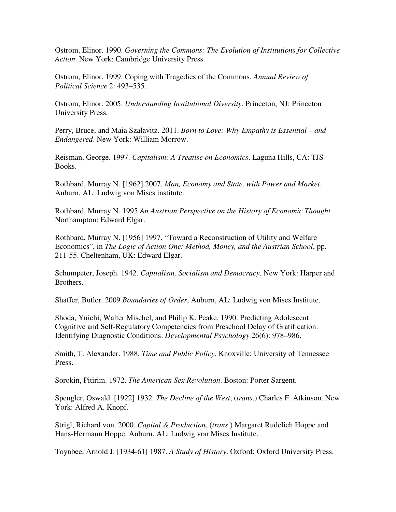Ostrom, Elinor. 1990. *Governing the Commons: The Evolution of Institutions for Collective Action*. New York: Cambridge University Press.

Ostrom, Elinor. 1999. Coping with Tragedies of the Commons. *Annual Review of Political Science* 2: 493–535.

Ostrom, Elinor. 2005. *Understanding Institutional Diversity*. Princeton, NJ: Princeton University Press.

Perry, Bruce, and Maia Szalavitz. 2011. *Born to Love: Why Empathy is Essential – and Endangered*. New York: William Morrow.

Reisman, George. 1997. *Capitalism: A Treatise on Economics*. Laguna Hills, CA: TJS Books.

Rothbard, Murray N. [1962] 2007. *Man, Economy and State, with Power and Market*. Auburn, AL: Ludwig von Mises institute.

Rothbard, Murray N. 1995 *An Austrian Perspective on the History of Economic Thought.*  Northampton: Edward Elgar.

Rothbard, Murray N. [1956] 1997. "Toward a Reconstruction of Utility and Welfare Economics", in *The Logic of Action One: Method, Money, and the Austrian School*, pp. 211-55. Cheltenham, UK: Edward Elgar.

Schumpeter, Joseph. 1942. *Capitalism, Socialism and Democracy*. New York: Harper and Brothers.

Shaffer, Butler. 2009 *Boundaries of Order*, Auburn, AL: Ludwig von Mises Institute.

Shoda, Yuichi, Walter Mischel, and Philip K. Peake. 1990. Predicting Adolescent Cognitive and Self-Regulatory Competencies from Preschool Delay of Gratification: Identifying Diagnostic Conditions. *Developmental Psychology* 26(6): 978–986.

Smith, T. Alexander. 1988. *Time and Public Policy.* Knoxville: University of Tennessee Press.

Sorokin, Pitirim. 1972. *The American Sex Revolution*. Boston: Porter Sargent.

Spengler, Oswald. [1922] 1932. *The Decline of the West*, (*trans*.) Charles F. Atkinson. New York: Alfred A. Knopf.

Strigl, Richard von. 2000. *Capital & Production*, (*trans*.) Margaret Rudelich Hoppe and Hans-Hermann Hoppe. Auburn, AL: Ludwig von Mises Institute.

Toynbee, Arnold J. [1934-61] 1987. *A Study of History*. Oxford: Oxford University Press.